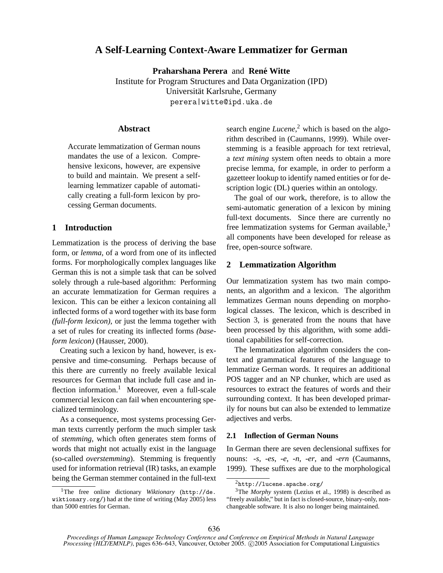# **A Self-Learning Context-Aware Lemmatizer for German**

**Praharshana Perera** and **Rene Witte ´** Institute for Program Structures and Data Organization (IPD) Universität Karlsruhe, Germany perera|witte@ipd.uka.de

# **Abstract**

Accurate lemmatization of German nouns mandates the use of a lexicon. Comprehensive lexicons, however, are expensive to build and maintain. We present a selflearning lemmatizer capable of automatically creating a full-form lexicon by processing German documents.

# **1 Introduction**

Lemmatization is the process of deriving the base form, or *lemma*, of a word from one of its inflected forms. For morphologically complex languages like German this is not a simple task that can be solved solely through a rule-based algorithm: Performing an accurate lemmatization for German requires a lexicon. This can be either a lexicon containing all inflected forms of a word together with its base form *(full-form lexicon)*, or just the lemma together with a set of rules for creating its inflected forms *(baseform lexicon)* (Hausser, 2000).

Creating such a lexicon by hand, however, is expensive and time-consuming. Perhaps because of this there are currently no freely available lexical resources for German that include full case and inflection information.<sup>1</sup> Moreover, even a full-scale commercial lexicon can fail when encountering specialized terminology.

As a consequence, most systems processing German texts currently perform the much simpler task of *stemming*, which often generates stem forms of words that might not actually exist in the language (so-called *overstemming*). Stemming is frequently used for information retrieval (IR) tasks, an example being the German stemmer contained in the full-text

search engine *Lucene*, <sup>2</sup> which is based on the algorithm described in (Caumanns, 1999). While overstemming is a feasible approach for text retrieval, a *text mining* system often needs to obtain a more precise lemma, for example, in order to perform a gazetteer lookup to identify named entities or for description logic (DL) queries within an ontology.

The goal of our work, therefore, is to allow the semi-automatic generation of a lexicon by mining full-text documents. Since there are currently no free lemmatization systems for German available,<sup>3</sup> all components have been developed for release as free, open-source software.

# **2 Lemmatization Algorithm**

Our lemmatization system has two main components, an algorithm and a lexicon. The algorithm lemmatizes German nouns depending on morphological classes. The lexicon, which is described in Section 3, is generated from the nouns that have been processed by this algorithm, with some additional capabilities for self-correction.

The lemmatization algorithm considers the context and grammatical features of the language to lemmatize German words. It requires an additional POS tagger and an NP chunker, which are used as resources to extract the features of words and their surrounding context. It has been developed primarily for nouns but can also be extended to lemmatize adjectives and verbs.

# **2.1 Inflection of German Nouns**

In German there are seven declensional suffixes for nouns: *-s*, *-es*, *-e*, *-n*, *-er*, and *-ern* (Caumanns, 1999). These suffixes are due to the morphological

<sup>1</sup>The free online dictionary *Wiktionary* (http://de. wiktionary.org/) had at the time of writing (May 2005) less than 5000 entries for German.

 $<sup>2</sup>$ http://lucene.apache.org/</sup>

<sup>3</sup>The *Morphy* system (Lezius et al., 1998) is described as "freely available," but in fact is closed-source, binary-only, nonchangeable software. It is also no longer being maintained.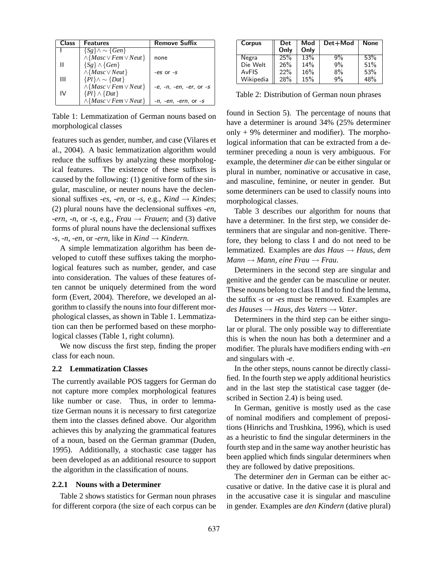| <b>Class</b> | <b>Features</b>                                               | <b>Remove Suffix</b>               |
|--------------|---------------------------------------------------------------|------------------------------------|
|              | $\{S_g\}\wedge\sim\{Gen\}$                                    |                                    |
|              | $\wedge$ { <i>Masc</i> $\vee$ <i>Fem</i> $\vee$ <i>Neut</i> } | none                               |
|              | $\{S_g\} \wedge \{Gen\}$                                      |                                    |
|              | $\wedge$ {Masc $\vee$ Neut}                                   | $-es$ or $-s$                      |
| Ш            | $\{Pl\} \wedge \sim \{ Dat\}$                                 |                                    |
|              | $\wedge$ { <i>Masc</i> $\vee$ <i>Fem</i> $\vee$ <i>Neut</i> } | -e, -n, -en, -er, or -s            |
| IV           | $\{Pl\} \wedge \{ Dat\}$                                      |                                    |
|              | $\wedge$ { <i>Masc</i> $\vee$ <i>Fem</i> $\vee$ <i>Neut</i> } | <i>-n, -en, -ern,</i> or <i>-s</i> |

Table 1: Lemmatization of German nouns based on morphological classes

features such as gender, number, and case (Vilares et al., 2004). A basic lemmatization algorithm would reduce the suffixes by analyzing these morphological features. The existence of these suffixes is caused by the following: (1) genitive form of the singular, masculine, or neuter nouns have the declensional suffixes *-es*, *-en*, or *-s*, e.g.,  $Kind \rightarrow Kindes$ ; (2) plural nouns have the declensional suffixes *-en*, *-ern*, *-n*, or *-s*, e.g., *Frau*  $\rightarrow$  *Frauen*; and (3) dative forms of plural nouns have the declensional suffixes *-s*, *-n*, *-en*, or *-ern*, like in  $Kind \rightarrow Kind$ .

A simple lemmatization algorithm has been developed to cutoff these suffixes taking the morphological features such as number, gender, and case into consideration. The values of these features often cannot be uniquely determined from the word form (Evert, 2004). Therefore, we developed an algorithm to classify the nouns into four different morphological classes, as shown in Table 1. Lemmatization can then be performed based on these morphological classes (Table 1, right column).

We now discuss the first step, finding the proper class for each noun.

### **2.2 Lemmatization Classes**

The currently available POS taggers for German do not capture more complex morphological features like number or case. Thus, in order to lemmatize German nouns it is necessary to first categorize them into the classes defined above. Our algorithm achieves this by analyzing the grammatical features of a noun, based on the German grammar (Duden, 1995). Additionally, a stochastic case tagger has been developed as an additional resource to support the algorithm in the classification of nouns.

# **2.2.1 Nouns with a Determiner**

Table 2 shows statistics for German noun phrases for different corpora (the size of each corpus can be

| Corpus    | Det  | Mod  | Det+Mod | None |
|-----------|------|------|---------|------|
|           | Only | Only |         |      |
| Negra     | 25%  | 13%  | 9%      | 53%  |
| Die Welt  | 26%  | 14%  | 9%      | 51%  |
| AvFIS     | 22%  | 16%  | $8\%$   | 53%  |
| Wikipedia | 28%  | 15%  | 9%      | 48%  |

Table 2: Distribution of German noun phrases

found in Section 5). The percentage of nouns that have a determiner is around 34% (25% determiner only  $+9%$  determiner and modifier). The morphological information that can be extracted from a determiner preceding a noun is very ambiguous. For example, the determiner *die* can be either singular or plural in number, nominative or accusative in case, and masculine, feminine, or neuter in gender. But some determiners can be used to classify nouns into morphological classes.

Table 3 describes our algorithm for nouns that have a determiner. In the first step, we consider determiners that are singular and non-genitive. Therefore, they belong to class I and do not need to be lemmatized. Examples are *das Haus* → *Haus*, *dem*  $Mann \rightarrow Mann$ , *eine Frau*  $\rightarrow$  *Frau*.

Determiners in the second step are singular and genitive and the gender can be masculine or neuter. These nouns belong to class II and to find the lemma, the suffix *-s* or *-es* must be removed. Examples are *des Hauses* → *Haus*, *des Vaters* → *Vater*.

Determiners in the third step can be either singular or plural. The only possible way to differentiate this is when the noun has both a determiner and a modifier. The plurals have modifiers ending with *-en* and singulars with *-e*.

In the other steps, nouns cannot be directly classified. In the fourth step we apply additional heuristics and in the last step the statistical case tagger (described in Section 2.4) is being used.

In German, genitive is mostly used as the case of nominal modifiers and complement of prepositions (Hinrichs and Trushkina, 1996), which is used as a heuristic to find the singular determiners in the fourth step and in the same way another heuristic has been applied which finds singular determiners when they are followed by dative prepositions.

The determiner *den* in German can be either accusative or dative. In the dative case it is plural and in the accusative case it is singular and masculine in gender. Examples are *den Kindern* (dative plural)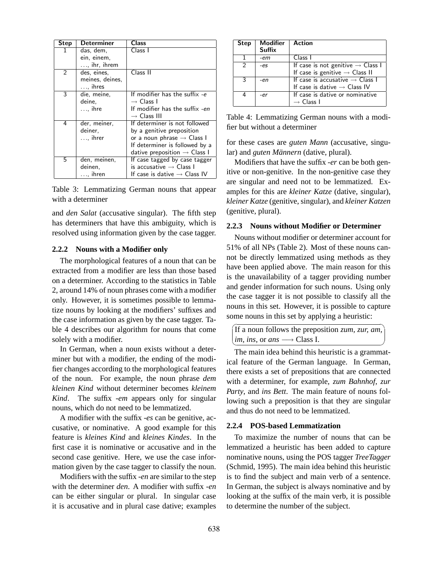| <b>Step</b> | Determiner                                  | Class                                                                                                                                                                              |
|-------------|---------------------------------------------|------------------------------------------------------------------------------------------------------------------------------------------------------------------------------------|
| 1           | das, dem,<br>ein, einem,                    | Class I                                                                                                                                                                            |
|             | $\ldots$ , ihr, ihrem                       |                                                                                                                                                                                    |
| 2           | des, eines,<br>meines, deines,              | Class II                                                                                                                                                                           |
|             | $\ldots$ , ihres                            |                                                                                                                                                                                    |
| 3           | die, meine,                                 | If modifier has the suffix -e                                                                                                                                                      |
|             | deine.                                      | $\rightarrow$ Class I                                                                                                                                                              |
|             | $\ldots$ , ihre                             | If modifier has the suffix -en<br>$\rightarrow$ Class III                                                                                                                          |
| 4           | der, meiner,<br>deiner,<br>$\ldots$ , ihrer | If determiner is not followed<br>by a genitive preposition<br>or a noun phrase $\rightarrow$ Class I<br>If determiner is followed by a<br>dative preposition $\rightarrow$ Class I |
| 5           | den, meinen,<br>deinen,<br>$\ldots$ , ihren | If case tagged by case tagger<br>is accusative $\rightarrow$ Class I<br>If case is dative $\rightarrow$ Class IV                                                                   |

Table 3: Lemmatizing German nouns that appear with a determiner

and *den Salat* (accusative singular). The fifth step has determiners that have this ambiguity, which is resolved using information given by the case tagger.

### **2.2.2 Nouns with a Modifier only**

The morphological features of a noun that can be extracted from a modifier are less than those based on a determiner. According to the statistics in Table 2, around 14% of noun phrases come with a modifier only. However, it is sometimes possible to lemmatize nouns by looking at the modifiers' suffixes and the case information as given by the case tagger. Table 4 describes our algorithm for nouns that come solely with a modifier.

In German, when a noun exists without a determiner but with a modifier, the ending of the modifier changes according to the morphological features of the noun. For example, the noun phrase *dem kleinen Kind* without determiner becomes *kleinem Kind*. The suffix *-em* appears only for singular nouns, which do not need to be lemmatized.

A modifier with the suffix *-es* can be genitive, accusative, or nominative. A good example for this feature is *kleines Kind* and *kleines Kindes*. In the first case it is nominative or accusative and in the second case genitive. Here, we use the case information given by the case tagger to classify the noun.

Modifiers with the suffix *-en* are similar to the step with the determiner *den*. A modifier with suffix *-en* can be either singular or plural. In singular case it is accusative and in plural case dative; examples

| <b>Step</b>   | <b>Modifier</b><br><b>Suffix</b> | Action                                        |
|---------------|----------------------------------|-----------------------------------------------|
|               | -em                              | Class I                                       |
| $\mathcal{P}$ | -es                              | If case is not genitive $\rightarrow$ Class I |
|               |                                  | If case is genitive $\rightarrow$ Class II    |
| २             | -en                              | If case is accusative $\rightarrow$ Class I   |
|               |                                  | If case is dative $\rightarrow$ Class IV      |
|               | -er                              | If case is dative or nominative               |
|               |                                  | $\rightarrow$ Class I                         |

Table 4: Lemmatizing German nouns with a modifier but without a determiner

for these cases are *guten Mann* (accusative, singular) and *guten Männern* (dative, plural).

Modifiers that have the suffix *-er* can be both genitive or non-genitive. In the non-genitive case they are singular and need not to be lemmatized. Examples for this are *kleiner Katze* (dative, singular), *kleiner Katze* (genitive, singular), and *kleiner Katzen* (genitive, plural).

## **2.2.3 Nouns without Modifier or Determiner**

Nouns without modifier or determiner account for 51% of all NPs (Table 2). Most of these nouns cannot be directly lemmatized using methods as they have been applied above. The main reason for this is the unavailability of a tagger providing number and gender information for such nouns. Using only the case tagger it is not possible to classify all the nouns in this set. However, it is possible to capture some nouns in this set by applying a heuristic:

|                                                              | If a noun follows the preposition <i>zum</i> , <i>zur</i> , <i>am</i> , |  |  |
|--------------------------------------------------------------|-------------------------------------------------------------------------|--|--|
| $\lim_{n \to \infty}$ ins, or ans $\longrightarrow$ Class I. |                                                                         |  |  |

The main idea behind this heuristic is a grammatical feature of the German language. In German, there exists a set of prepositions that are connected with a determiner, for example, *zum Bahnhof*, *zur Party*, and *ins Bett*. The main feature of nouns following such a preposition is that they are singular and thus do not need to be lemmatized.

### **2.2.4 POS-based Lemmatization**

To maximize the number of nouns that can be lemmatized a heuristic has been added to capture nominative nouns, using the POS tagger *TreeTagger* (Schmid, 1995). The main idea behind this heuristic is to find the subject and main verb of a sentence. In German, the subject is always nominative and by looking at the suffix of the main verb, it is possible to determine the number of the subject.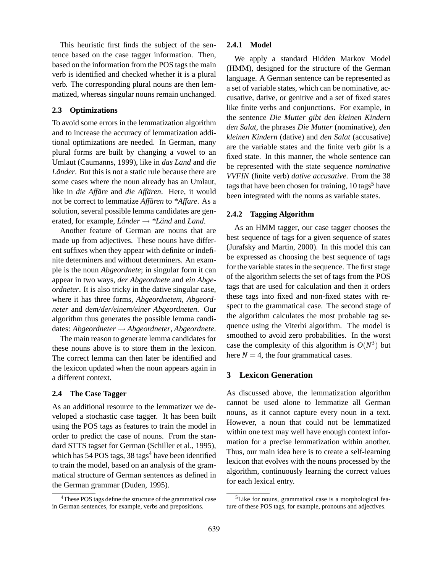This heuristic first finds the subject of the sentence based on the case tagger information. Then, based on the information from the POS tags the main verb is identified and checked whether it is a plural verb. The corresponding plural nouns are then lemmatized, whereas singular nouns remain unchanged.

## **2.3 Optimizations**

To avoid some errors in the lemmatization algorithm and to increase the accuracy of lemmatization additional optimizations are needed. In German, many plural forms are built by changing a vowel to an Umlaut (Caumanns, 1999), like in *das Land* and *die Länder*. But this is not a static rule because there are some cases where the noun already has an Umlaut, like in *die Affäre* and *die Affären*. Here, it would not be correct to lemmatize *Affaren ¨* to *\*Affare*. As a solution, several possible lemma candidates are generated, for example, *Länder*  $\rightarrow$  *\*Länd* and *Land*.

Another feature of German are nouns that are made up from adjectives. These nouns have different suffixes when they appear with definite or indefinite determiners and without determiners. An example is the noun *Abgeordnete*; in singular form it can appear in two ways, *der Abgeordnete* and *ein Abgeordneter*. It is also tricky in the dative singular case, where it has three forms, *Abgeordnetem*, *Abgeordneter* and *dem/der/einem/einer Abgeordneten*. Our algorithm thus generates the possible lemma candidates: *Abgeordneter* → *Abgeordneter*, *Abgeordnete*.

The main reason to generate lemma candidates for these nouns above is to store them in the lexicon. The correct lemma can then later be identified and the lexicon updated when the noun appears again in a different context.

# **2.4 The Case Tagger**

As an additional resource to the lemmatizer we developed a stochastic case tagger. It has been built using the POS tags as features to train the model in order to predict the case of nouns. From the standard STTS tagset for German (Schiller et al., 1995), which has  $54$  POS tags,  $38$  tags<sup>4</sup> have been identified to train the model, based on an analysis of the grammatical structure of German sentences as defined in the German grammar (Duden, 1995).

### **2.4.1 Model**

We apply a standard Hidden Markov Model (HMM), designed for the structure of the German language. A German sentence can be represented as a set of variable states, which can be nominative, accusative, dative, or genitive and a set of fixed states like finite verbs and conjunctions. For example, in the sentence *Die Mutter gibt den kleinen Kindern den Salat*, the phrases *Die Mutter* (nominative), *den kleinen Kindern* (dative) and *den Salat* (accusative) are the variable states and the finite verb *gibt* is a fixed state. In this manner, the whole sentence can be represented with the state sequence *nominative VVFIN* (finite verb) *dative accusative*. From the 38 tags that have been chosen for training,  $10 \text{ tags}^5$  have been integrated with the nouns as variable states.

# **2.4.2 Tagging Algorithm**

As an HMM tagger, our case tagger chooses the best sequence of tags for a given sequence of states (Jurafsky and Martin, 2000). In this model this can be expressed as choosing the best sequence of tags for the variable states in the sequence. The first stage of the algorithm selects the set of tags from the POS tags that are used for calculation and then it orders these tags into fixed and non-fixed states with respect to the grammatical case. The second stage of the algorithm calculates the most probable tag sequence using the Viterbi algorithm. The model is smoothed to avoid zero probabilities. In the worst case the complexity of this algorithm is  $O(N^3)$  but here  $N = 4$ , the four grammatical cases.

# **3 Lexicon Generation**

As discussed above, the lemmatization algorithm cannot be used alone to lemmatize all German nouns, as it cannot capture every noun in a text. However, a noun that could not be lemmatized within one text may well have enough context information for a precise lemmatization within another. Thus, our main idea here is to create a self-learning lexicon that evolves with the nouns processed by the algorithm, continuously learning the correct values for each lexical entry.

<sup>&</sup>lt;sup>4</sup>These POS tags define the structure of the grammatical case in German sentences, for example, verbs and prepositions.

<sup>&</sup>lt;sup>5</sup>Like for nouns, grammatical case is a morphological feature of these POS tags, for example, pronouns and adjectives.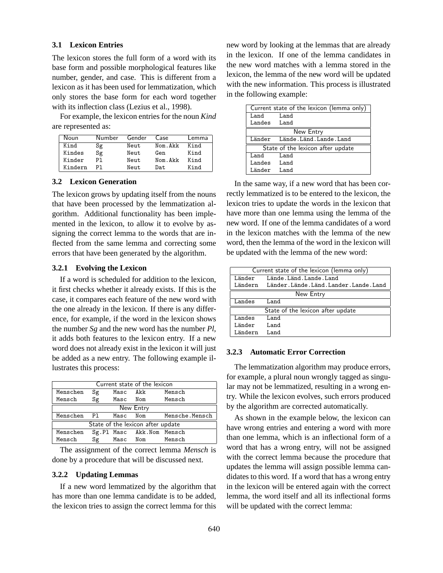### **3.1 Lexicon Entries**

The lexicon stores the full form of a word with its base form and possible morphological features like number, gender, and case. This is different from a lexicon as it has been used for lemmatization, which only stores the base form for each word together with its inflection class (Lezius et al., 1998).

For example, the lexicon entries for the noun *Kind* are represented as:

| Noun    | Number | Gender | Case    | Lemma |
|---------|--------|--------|---------|-------|
| Kind    | Sg     | Neut   | Nom Akk | Kind  |
| Kindes  | Sg     | Neut   | Gen     | Kind  |
| Kinder  | P٦     | Neut   | Nom Akk | Kind  |
| Kindern | P٦     | Neut   | Dat.    | Kind  |

### **3.2 Lexicon Generation**

The lexicon grows by updating itself from the nouns that have been processed by the lemmatization algorithm. Additional functionality has been implemented in the lexicon, to allow it to evolve by assigning the correct lemma to the words that are inflected from the same lemma and correcting some errors that have been generated by the algorithm.

# **3.2.1 Evolving the Lexicon**

If a word is scheduled for addition to the lexicon, it first checks whether it already exists. If this is the case, it compares each feature of the new word with the one already in the lexicon. If there is any difference, for example, if the word in the lexicon shows the number *Sg* and the new word has the number *Pl*, it adds both features to the lexicon entry. If a new word does not already exist in the lexicon it will just be added as a new entry. The following example illustrates this process:

| Current state of the lexicon      |    |          |                           |                |  |  |
|-----------------------------------|----|----------|---------------------------|----------------|--|--|
| Menschen                          | Sg | Masc Akk |                           | Mensch         |  |  |
| Mensch                            | Sg | Masc     | Nom                       | Mensch         |  |  |
| New Entry                         |    |          |                           |                |  |  |
| Menschen                          | P1 | Masc     | Nom                       | Mensche.Mensch |  |  |
| State of the lexicon after update |    |          |                           |                |  |  |
| Menschen                          |    |          | Sg.Pl Masc Akk.Nom Mensch |                |  |  |
| Mensch                            | Sg | Masc Nom |                           | Mensch         |  |  |

The assignment of the correct lemma *Mensch* is done by a procedure that will be discussed next.

#### **3.2.2 Updating Lemmas**

If a new word lemmatized by the algorithm that has more than one lemma candidate is to be added, the lexicon tries to assign the correct lemma for this

new word by looking at the lemmas that are already in the lexicon. If one of the lemma candidates in the new word matches with a lemma stored in the lexicon, the lemma of the new word will be updated with the new information. This process is illustrated in the following example:

| Current state of the lexicon (lemma only) |                                 |  |  |  |
|-------------------------------------------|---------------------------------|--|--|--|
| Land Land                                 |                                 |  |  |  |
| Landes Land                               |                                 |  |  |  |
|                                           | New Entry                       |  |  |  |
|                                           | Länder Lände. Länd. Lande. Land |  |  |  |
| State of the lexicon after update         |                                 |  |  |  |
| Land                                      | Land                            |  |  |  |
| Landes Land                               |                                 |  |  |  |
| Länder Land                               |                                 |  |  |  |

In the same way, if a new word that has been correctly lemmatized is to be entered to the lexicon, the lexicon tries to update the words in the lexicon that have more than one lemma using the lemma of the new word. If one of the lemma candidates of a word in the lexicon matches with the lemma of the new word, then the lemma of the word in the lexicon will be updated with the lemma of the new word:

|         | Current state of the lexicon (lemma only) |  |  |  |
|---------|-------------------------------------------|--|--|--|
| Länder  | Lände.Länd.Lande.Land                     |  |  |  |
| Ländern | Länder.Lände.Länd.Lander.Lande.Land       |  |  |  |
|         | New Entry                                 |  |  |  |
| Landes  | Land                                      |  |  |  |
|         | State of the lexicon after update         |  |  |  |
| Landes  | Land                                      |  |  |  |
| Länder  | Land                                      |  |  |  |
| Ländern | Land                                      |  |  |  |

### **3.2.3 Automatic Error Correction**

The lemmatization algorithm may produce errors, for example, a plural noun wrongly tagged as singular may not be lemmatized, resulting in a wrong entry. While the lexicon evolves, such errors produced by the algorithm are corrected automatically.

As shown in the example below, the lexicon can have wrong entries and entering a word with more than one lemma, which is an inflectional form of a word that has a wrong entry, will not be assigned with the correct lemma because the procedure that updates the lemma will assign possible lemma candidates to this word. If a word that has a wrong entry in the lexicon will be entered again with the correct lemma, the word itself and all its inflectional forms will be updated with the correct lemma: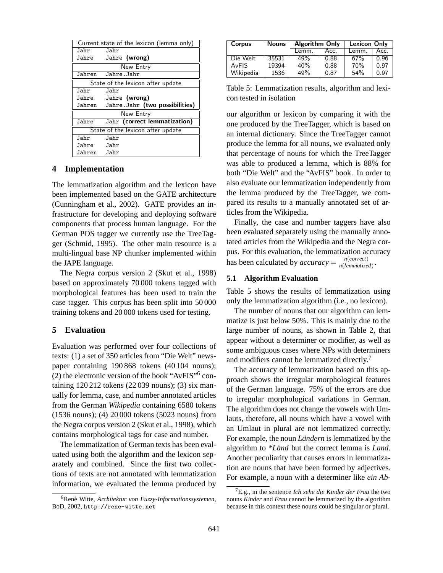|            | Current state of the lexicon (lemma only) |
|------------|-------------------------------------------|
| Jahr       | Jahr                                      |
| Jahre      | Jahre (wrong)                             |
|            | New Entry                                 |
| Jahren     | Jahre.Jahr                                |
|            | State of the lexicon after update         |
| Jahr       | Jahr                                      |
| Jahre      | Jahre (wrong)                             |
| Jahren     | Jahre. Jahr (two possibilities)           |
|            | New Entry                                 |
| Jahre      | Jahr (correct lemmatization)              |
|            | State of the lexicon after update         |
| .Jahr      | Jahr                                      |
| Jahre Jahr |                                           |
|            |                                           |

# **4 Implementation**

The lemmatization algorithm and the lexicon have been implemented based on the GATE architecture (Cunningham et al., 2002). GATE provides an infrastructure for developing and deploying software components that process human language. For the German POS tagger we currently use the TreeTagger (Schmid, 1995). The other main resource is a multi-lingual base NP chunker implemented within the JAPE language.

The Negra corpus version 2 (Skut et al., 1998) based on approximately 70 000 tokens tagged with morphological features has been used to train the case tagger. This corpus has been split into 50 000 training tokens and 20 000 tokens used for testing.

# **5 Evaluation**

Evaluation was performed over four collections of texts: (1) a set of 350 articles from "Die Welt" newspaper containing 190 868 tokens (40 104 nouns); (2) the electronic version of the book "AvFIS"<sup>6</sup> containing 120 212 tokens (22 039 nouns); (3) six manually for lemma, case, and number annotated articles from the German *Wikipedia* containing 6580 tokens (1536 nouns); (4) 20 000 tokens (5023 nouns) from the Negra corpus version 2 (Skut et al., 1998), which contains morphological tags for case and number.

The lemmatization of German texts has been evaluated using both the algorithm and the lexicon separately and combined. Since the first two collections of texts are not annotated with lemmatization information, we evaluated the lemma produced by

| Corpus    | <b>Nouns</b> | <b>Algorithm Only</b> |      | <b>Lexicon Only</b> |      |
|-----------|--------------|-----------------------|------|---------------------|------|
|           |              | Lemm.                 | Acc. | Lemm.               | Acc. |
| Die Welt  | 35531        | 49%                   | 0.88 | 67%                 | 0.96 |
| AvFIS     | 19394        | 40%                   | 0.88 | 70%                 | 0.97 |
| Wikipedia | 1536         | 49%                   | 0.87 | 54%                 | በ 97 |

Table 5: Lemmatization results, algorithm and lexicon tested in isolation

our algorithm or lexicon by comparing it with the one produced by the TreeTagger, which is based on an internal dictionary. Since the TreeTagger cannot produce the lemma for all nouns, we evaluated only that percentage of nouns for which the TreeTagger was able to produced a lemma, which is 88% for both "Die Welt" and the "AvFIS" book. In order to also evaluate our lemmatization independently from the lemma produced by the TreeTagger, we compared its results to a manually annotated set of articles from the Wikipedia.

Finally, the case and number taggers have also been evaluated separately using the manually annotated articles from the Wikipedia and the Negra corpus. For this evaluation, the lemmatization accuracy has been calculated by  $accuracy = \frac{n(correct)}{n(temperature)}$ *n*(*lemmatized*) .

# **5.1 Algorithm Evaluation**

Table 5 shows the results of lemmatization using only the lemmatization algorithm (i.e., no lexicon).

The number of nouns that our algorithm can lemmatize is just below 50%. This is mainly due to the large number of nouns, as shown in Table 2, that appear without a determiner or modifier, as well as some ambiguous cases where NPs with determiners and modifiers cannot be lemmatized directly.<sup>7</sup>

The accuracy of lemmatization based on this approach shows the irregular morphological features of the German language. 75% of the errors are due to irregular morphological variations in German. The algorithm does not change the vowels with Umlauts, therefore, all nouns which have a vowel with an Umlaut in plural are not lemmatized correctly. For example, the noun *Ländern* is lemmatized by the algorithm to *\*Länd* but the correct lemma is *Land*. Another peculiarity that causes errors in lemmatization are nouns that have been formed by adjectives. For example, a noun with a determiner like *ein Ab-*

<sup>&</sup>lt;sup>6</sup>René Witte, *Architektur von Fuzzy-Informationssystemen*, BoD, 2002, http://rene-witte.net

<sup>7</sup>E.g., in the sentence *Ich sehe die Kinder der Frau* the two nouns *Kinder* and *Frau* cannot be lemmatized by the algorithm because in this context these nouns could be singular or plural.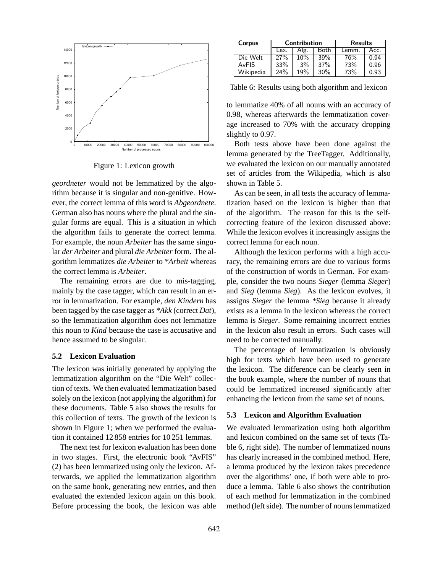

Figure 1: Lexicon growth

*geordneter* would not be lemmatized by the algorithm because it is singular and non-genitive. However, the correct lemma of this word is *Abgeordnete*. German also has nouns where the plural and the singular forms are equal. This is a situation in which the algorithm fails to generate the correct lemma. For example, the noun *Arbeiter* has the same singular *der Arbeiter* and plural *die Arbeiter* form. The algorithm lemmatizes *die Arbeiter* to *\*Arbeit* whereas the correct lemma is *Arbeiter*.

The remaining errors are due to mis-tagging, mainly by the case tagger, which can result in an error in lemmatization. For example, *den Kindern* has been tagged by the case tagger as *\*Akk* (correct *Dat*), so the lemmatization algorithm does not lemmatize this noun to *Kind* because the case is accusative and hence assumed to be singular.

## **5.2 Lexicon Evaluation**

The lexicon was initially generated by applying the lemmatization algorithm on the "Die Welt" collection of texts. We then evaluated lemmatization based solely on the lexicon (not applying the algorithm) for these documents. Table 5 also shows the results for this collection of texts. The growth of the lexicon is shown in Figure 1; when we performed the evaluation it contained 12 858 entries for 10 251 lemmas.

The next test for lexicon evaluation has been done in two stages. First, the electronic book "AvFIS" (2) has been lemmatized using only the lexicon. Afterwards, we applied the lemmatization algorithm on the same book, generating new entries, and then evaluated the extended lexicon again on this book. Before processing the book, the lexicon was able

| Corpus    | Contribution         |        |       | <b>Results</b> |      |
|-----------|----------------------|--------|-------|----------------|------|
|           | Both<br>Lex.<br>Alg. |        | Lemm. | Acc.           |      |
| Die Welt  | 27%                  | $10\%$ | 39%   | 76%            | 0.94 |
| AvFIS     | 33%                  | 3%     | 37%   | 73%            | 0.96 |
| Wikipedia | 24%                  | 19%    | 30%   | 73%            | 0.93 |

Table 6: Results using both algorithm and lexicon

to lemmatize 40% of all nouns with an accuracy of 0.98, whereas afterwards the lemmatization coverage increased to 70% with the accuracy dropping slightly to 0.97.

Both tests above have been done against the lemma generated by the TreeTagger. Additionally, we evaluated the lexicon on our manually annotated set of articles from the Wikipedia, which is also shown in Table 5.

As can be seen, in all tests the accuracy of lemmatization based on the lexicon is higher than that of the algorithm. The reason for this is the selfcorrecting feature of the lexicon discussed above: While the lexicon evolves it increasingly assigns the correct lemma for each noun.

Although the lexicon performs with a high accuracy, the remaining errors are due to various forms of the construction of words in German. For example, consider the two nouns *Sieger* (lemma *Sieger*) and *Sieg* (lemma *Sieg*). As the lexicon evolves, it assigns *Sieger* the lemma *\*Sieg* because it already exists as a lemma in the lexicon whereas the correct lemma is *Sieger*. Some remaining incorrect entries in the lexicon also result in errors. Such cases will need to be corrected manually.

The percentage of lemmatization is obviously high for texts which have been used to generate the lexicon. The difference can be clearly seen in the book example, where the number of nouns that could be lemmatized increased significantly after enhancing the lexicon from the same set of nouns.

# **5.3 Lexicon and Algorithm Evaluation**

We evaluated lemmatization using both algorithm and lexicon combined on the same set of texts (Table 6, right side). The number of lemmatized nouns has clearly increased in the combined method. Here, a lemma produced by the lexicon takes precedence over the algorithms' one, if both were able to produce a lemma. Table 6 also shows the contribution of each method for lemmatization in the combined method (left side). The number of nouns lemmatized